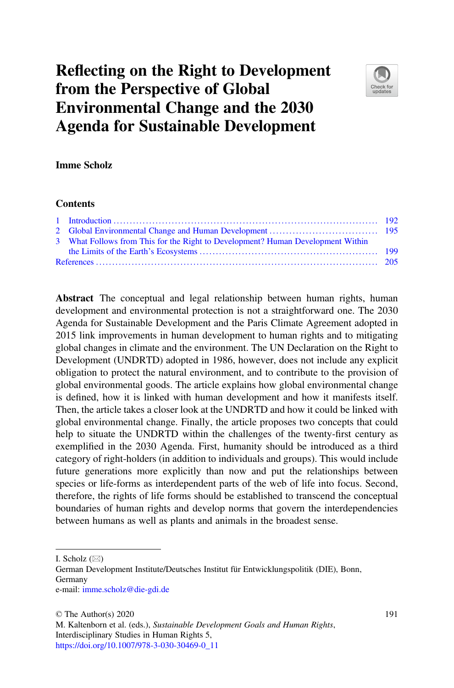# Reflecting on the Right to Development from the Perspective of Global Environmental Change and the 2030 Agenda for Sustainable Development



#### Imme Scholz

#### Contents

| 3 What Follows from This for the Right to Development? Human Development Within |  |
|---------------------------------------------------------------------------------|--|
|                                                                                 |  |
|                                                                                 |  |

Abstract The conceptual and legal relationship between human rights, human development and environmental protection is not a straightforward one. The 2030 Agenda for Sustainable Development and the Paris Climate Agreement adopted in 2015 link improvements in human development to human rights and to mitigating global changes in climate and the environment. The UN Declaration on the Right to Development (UNDRTD) adopted in 1986, however, does not include any explicit obligation to protect the natural environment, and to contribute to the provision of global environmental goods. The article explains how global environmental change is defined, how it is linked with human development and how it manifests itself. Then, the article takes a closer look at the UNDRTD and how it could be linked with global environmental change. Finally, the article proposes two concepts that could help to situate the UNDRTD within the challenges of the twenty-first century as exemplified in the 2030 Agenda. First, humanity should be introduced as a third category of right-holders (in addition to individuals and groups). This would include future generations more explicitly than now and put the relationships between species or life-forms as interdependent parts of the web of life into focus. Second, therefore, the rights of life forms should be established to transcend the conceptual boundaries of human rights and develop norms that govern the interdependencies between humans as well as plants and animals in the broadest sense.

I. Scholz  $(\boxtimes)$ 

German Development Institute/Deutsches Institut für Entwicklungspolitik (DIE), Bonn, Germany e-mail: [imme.scholz@die-gdi.de](mailto:imme.scholz@die-gdi.de)

© The Author(s) 2020

191

M. Kaltenborn et al. (eds.), Sustainable Development Goals and Human Rights, Interdisciplinary Studies in Human Rights 5, [https://doi.org/10.1007/978-3-030-30469-0\\_11](https://doi.org/10.1007/978-3-030-30469-0_11)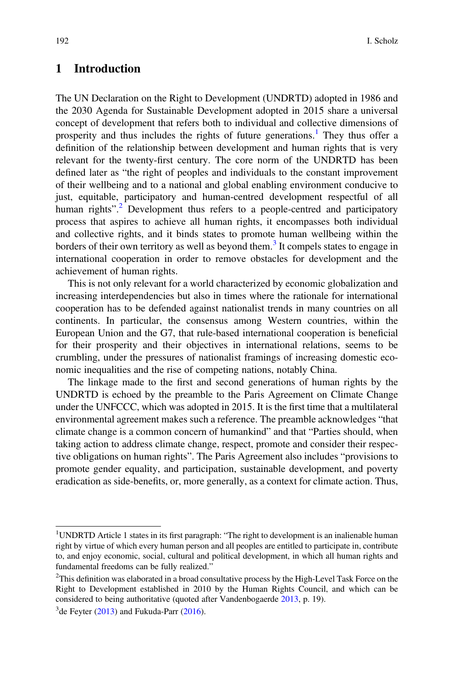## <span id="page-1-0"></span>1 Introduction

The UN Declaration on the Right to Development (UNDRTD) adopted in 1986 and the 2030 Agenda for Sustainable Development adopted in 2015 share a universal concept of development that refers both to individual and collective dimensions of prosperity and thus includes the rights of future generations.<sup>[1](#page-1-1)</sup> They thus offer a definition of the relationship between development and human rights that is very relevant for the twenty-first century. The core norm of the UNDRTD has been defined later as "the right of peoples and individuals to the constant improvement of their wellbeing and to a national and global enabling environment conducive to just, equitable, participatory and human-centred development respectful of all human rights".<sup>[2](#page-1-2)</sup> Development thus refers to a people-centred and participatory process that aspires to achieve all human rights, it encompasses both individual and collective rights, and it binds states to promote human wellbeing within the borders of their own territory as well as beyond them.<sup>[3](#page-1-3)</sup> It compels states to engage in international cooperation in order to remove obstacles for development and the achievement of human rights.

This is not only relevant for a world characterized by economic globalization and increasing interdependencies but also in times where the rationale for international cooperation has to be defended against nationalist trends in many countries on all continents. In particular, the consensus among Western countries, within the European Union and the G7, that rule-based international cooperation is beneficial for their prosperity and their objectives in international relations, seems to be crumbling, under the pressures of nationalist framings of increasing domestic economic inequalities and the rise of competing nations, notably China.

The linkage made to the first and second generations of human rights by the UNDRTD is echoed by the preamble to the Paris Agreement on Climate Change under the UNFCCC, which was adopted in 2015. It is the first time that a multilateral environmental agreement makes such a reference. The preamble acknowledges "that climate change is a common concern of humankind" and that "Parties should, when taking action to address climate change, respect, promote and consider their respective obligations on human rights". The Paris Agreement also includes "provisions to promote gender equality, and participation, sustainable development, and poverty eradication as side-benefits, or, more generally, as a context for climate action. Thus,

<span id="page-1-1"></span><sup>&</sup>lt;sup>1</sup> UNDRTD Article 1 states in its first paragraph: "The right to development is an inalienable human right by virtue of which every human person and all peoples are entitled to participate in, contribute to, and enjoy economic, social, cultural and political development, in which all human rights and fundamental freedoms can be fully realized."

<span id="page-1-2"></span><sup>&</sup>lt;sup>2</sup>This definition was elaborated in a broad consultative process by the High-Level Task Force on the Right to Development established in 2010 by the Human Rights Council, and which can be considered to being authoritative (quoted after Vandenbogaerde [2013](#page-14-1), p. 19).

<span id="page-1-3"></span> $3$ de Feyter [\(2013](#page-14-2)) and Fukuda-Parr ([2016\)](#page-14-3).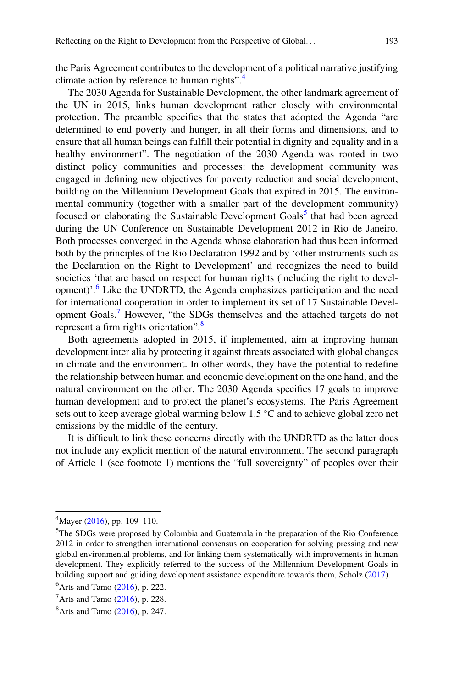the Paris Agreement contributes to the development of a political narrative justifying climate action by reference to human rights".<sup>[4](#page-2-0)</sup>

The 2030 Agenda for Sustainable Development, the other landmark agreement of the UN in 2015, links human development rather closely with environmental protection. The preamble specifies that the states that adopted the Agenda "are determined to end poverty and hunger, in all their forms and dimensions, and to ensure that all human beings can fulfill their potential in dignity and equality and in a healthy environment". The negotiation of the 2030 Agenda was rooted in two distinct policy communities and processes: the development community was engaged in defining new objectives for poverty reduction and social development, building on the Millennium Development Goals that expired in 2015. The environmental community (together with a smaller part of the development community) focused on elaborating the Sustainable Development Goals<sup>[5](#page-2-1)</sup> that had been agreed during the UN Conference on Sustainable Development 2012 in Rio de Janeiro. Both processes converged in the Agenda whose elaboration had thus been informed both by the principles of the Rio Declaration 1992 and by 'other instruments such as the Declaration on the Right to Development' and recognizes the need to build societies 'that are based on respect for human rights (including the right to devel-opment)'.<sup>[6](#page-2-2)</sup> Like the UNDRTD, the Agenda emphasizes participation and the need for international cooperation in order to implement its set of 17 Sustainable Devel-opment Goals.<sup>[7](#page-2-3)</sup> However, "the SDGs themselves and the attached targets do not represent a firm rights orientation".<sup>[8](#page-2-4)</sup>

Both agreements adopted in 2015, if implemented, aim at improving human development inter alia by protecting it against threats associated with global changes in climate and the environment. In other words, they have the potential to redefine the relationship between human and economic development on the one hand, and the natural environment on the other. The 2030 Agenda specifies 17 goals to improve human development and to protect the planet's ecosystems. The Paris Agreement sets out to keep average global warming below  $1.5 \degree C$  and to achieve global zero net emissions by the middle of the century.

It is difficult to link these concerns directly with the UNDRTD as the latter does not include any explicit mention of the natural environment. The second paragraph of Article 1 (see footnote 1) mentions the "full sovereignty" of peoples over their

<span id="page-2-0"></span><sup>&</sup>lt;sup>4</sup>Mayer [\(2016](#page-14-4)), pp. 109–110.

<span id="page-2-1"></span><sup>&</sup>lt;sup>5</sup>The SDGs were proposed by Colombia and Guatemala in the preparation of the Rio Conference 2012 in order to strengthen international consensus on cooperation for solving pressing and new global environmental problems, and for linking them systematically with improvements in human development. They explicitly referred to the success of the Millennium Development Goals in building support and guiding development assistance expenditure towards them, Scholz [\(2017](#page-14-5)).

<span id="page-2-2"></span> $6$ Arts and Tamo [\(2016](#page-14-6)), p. 222.

<span id="page-2-3"></span><sup>&</sup>lt;sup>7</sup> Arts and Tamo  $(2016)$  $(2016)$ , p. 228.

<span id="page-2-4"></span><sup>&</sup>lt;sup>8</sup> Arts and Tamo [\(2016](#page-14-6)), p. 247.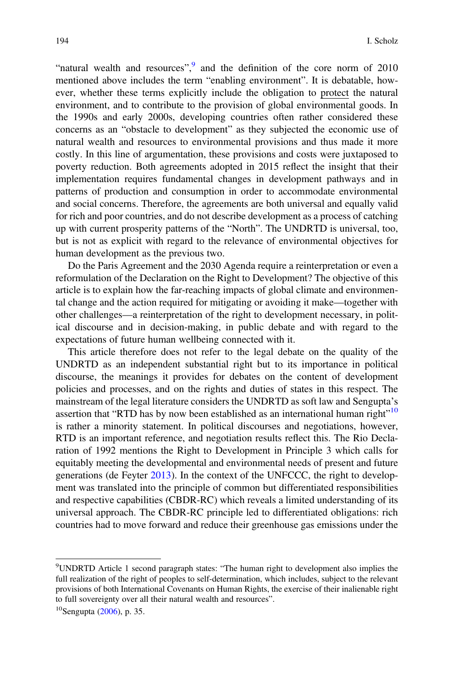"natural wealth and resources",<sup>[9](#page-3-0)</sup> and the definition of the core norm of 2010 mentioned above includes the term "enabling environment". It is debatable, however, whether these terms explicitly include the obligation to protect the natural environment, and to contribute to the provision of global environmental goods. In the 1990s and early 2000s, developing countries often rather considered these concerns as an "obstacle to development" as they subjected the economic use of natural wealth and resources to environmental provisions and thus made it more costly. In this line of argumentation, these provisions and costs were juxtaposed to poverty reduction. Both agreements adopted in 2015 reflect the insight that their implementation requires fundamental changes in development pathways and in patterns of production and consumption in order to accommodate environmental and social concerns. Therefore, the agreements are both universal and equally valid for rich and poor countries, and do not describe development as a process of catching up with current prosperity patterns of the "North". The UNDRTD is universal, too, but is not as explicit with regard to the relevance of environmental objectives for human development as the previous two.

Do the Paris Agreement and the 2030 Agenda require a reinterpretation or even a reformulation of the Declaration on the Right to Development? The objective of this article is to explain how the far-reaching impacts of global climate and environmental change and the action required for mitigating or avoiding it make—together with other challenges—a reinterpretation of the right to development necessary, in political discourse and in decision-making, in public debate and with regard to the expectations of future human wellbeing connected with it.

This article therefore does not refer to the legal debate on the quality of the UNDRTD as an independent substantial right but to its importance in political discourse, the meanings it provides for debates on the content of development policies and processes, and on the rights and duties of states in this respect. The mainstream of the legal literature considers the UNDRTD as soft law and Sengupta's assertion that "RTD has by now been established as an international human right"<sup>[10](#page-3-1)</sup> is rather a minority statement. In political discourses and negotiations, however, RTD is an important reference, and negotiation results reflect this. The Rio Declaration of 1992 mentions the Right to Development in Principle 3 which calls for equitably meeting the developmental and environmental needs of present and future generations (de Feyter [2013\)](#page-14-2). In the context of the UNFCCC, the right to development was translated into the principle of common but differentiated responsibilities and respective capabilities (CBDR-RC) which reveals a limited understanding of its universal approach. The CBDR-RC principle led to differentiated obligations: rich countries had to move forward and reduce their greenhouse gas emissions under the

<span id="page-3-0"></span><sup>&</sup>lt;sup>9</sup>UNDRTD Article 1 second paragraph states: "The human right to development also implies the full realization of the right of peoples to self-determination, which includes, subject to the relevant provisions of both International Covenants on Human Rights, the exercise of their inalienable right to full sovereignty over all their natural wealth and resources".

<span id="page-3-1"></span> $10$ Sengupta ([2006\)](#page-14-7), p. 35.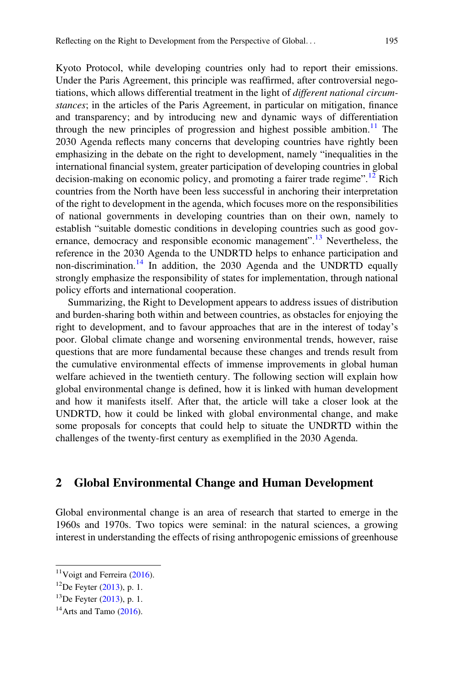Kyoto Protocol, while developing countries only had to report their emissions. Under the Paris Agreement, this principle was reaffirmed, after controversial negotiations, which allows differential treatment in the light of different national circumstances; in the articles of the Paris Agreement, in particular on mitigation, finance and transparency; and by introducing new and dynamic ways of differentiation through the new principles of progression and highest possible ambition.<sup>[11](#page-4-1)</sup> The 2030 Agenda reflects many concerns that developing countries have rightly been emphasizing in the debate on the right to development, namely "inequalities in the international financial system, greater participation of developing countries in global decision-making on economic policy, and promoting a fairer trade regime".<sup>[12](#page-4-2)</sup> Rich countries from the North have been less successful in anchoring their interpretation of the right to development in the agenda, which focuses more on the responsibilities of national governments in developing countries than on their own, namely to establish "suitable domestic conditions in developing countries such as good gov-ernance, democracy and responsible economic management".<sup>[13](#page-4-3)</sup> Nevertheless, the reference in the 2030 Agenda to the UNDRTD helps to enhance participation and non-discrimination.[14](#page-4-4) In addition, the 2030 Agenda and the UNDRTD equally strongly emphasize the responsibility of states for implementation, through national policy efforts and international cooperation.

Summarizing, the Right to Development appears to address issues of distribution and burden-sharing both within and between countries, as obstacles for enjoying the right to development, and to favour approaches that are in the interest of today's poor. Global climate change and worsening environmental trends, however, raise questions that are more fundamental because these changes and trends result from the cumulative environmental effects of immense improvements in global human welfare achieved in the twentieth century. The following section will explain how global environmental change is defined, how it is linked with human development and how it manifests itself. After that, the article will take a closer look at the UNDRTD, how it could be linked with global environmental change, and make some proposals for concepts that could help to situate the UNDRTD within the challenges of the twenty-first century as exemplified in the 2030 Agenda.

#### <span id="page-4-0"></span>2 Global Environmental Change and Human Development

Global environmental change is an area of research that started to emerge in the 1960s and 1970s. Two topics were seminal: in the natural sciences, a growing interest in understanding the effects of rising anthropogenic emissions of greenhouse

<span id="page-4-1"></span> $11$ Voigt and Ferreira ([2016\)](#page-14-8).

<span id="page-4-2"></span> $12$ De Feyter [\(2013\)](#page-14-2), p. 1.

<span id="page-4-3"></span><sup>&</sup>lt;sup>13</sup>De Feyter [\(2013\)](#page-14-2), p. 1.

<span id="page-4-4"></span> $14$ Arts and Tamo [\(2016](#page-14-6)).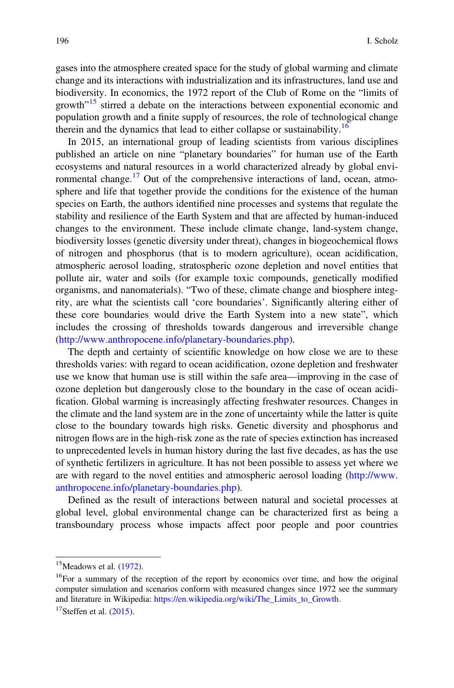gases into the atmosphere created space for the study of global warming and climate change and its interactions with industrialization and its infrastructures, land use and biodiversity. In economics, the 1972 report of the Club of Rome on the "limits of growth"<sup>[15](#page-5-0)</sup> stirred a debate on the interactions between exponential economic and population growth and a finite supply of resources, the role of technological change therein and the dynamics that lead to either collapse or sustainability.<sup>[16](#page-5-1)</sup>

In 2015, an international group of leading scientists from various disciplines published an article on nine "planetary boundaries" for human use of the Earth ecosystems and natural resources in a world characterized already by global envi-ronmental change.<sup>[17](#page-5-2)</sup> Out of the comprehensive interactions of land, ocean, atmosphere and life that together provide the conditions for the existence of the human species on Earth, the authors identified nine processes and systems that regulate the stability and resilience of the Earth System and that are affected by human-induced changes to the environment. These include climate change, land-system change, biodiversity losses (genetic diversity under threat), changes in biogeochemical flows of nitrogen and phosphorus (that is to modern agriculture), ocean acidification, atmospheric aerosol loading, stratospheric ozone depletion and novel entities that pollute air, water and soils (for example toxic compounds, genetically modified organisms, and nanomaterials). "Two of these, climate change and biosphere integrity, are what the scientists call 'core boundaries'. Significantly altering either of these core boundaries would drive the Earth System into a new state", which includes the crossing of thresholds towards dangerous and irreversible change [\(http://www.anthropocene.info/planetary-boundaries.php\)](http://www.anthropocene.info/planetary-boundaries.php).

The depth and certainty of scientific knowledge on how close we are to these thresholds varies: with regard to ocean acidification, ozone depletion and freshwater use we know that human use is still within the safe area—improving in the case of ozone depletion but dangerously close to the boundary in the case of ocean acidification. Global warming is increasingly affecting freshwater resources. Changes in the climate and the land system are in the zone of uncertainty while the latter is quite close to the boundary towards high risks. Genetic diversity and phosphorus and nitrogen flows are in the high-risk zone as the rate of species extinction has increased to unprecedented levels in human history during the last five decades, as has the use of synthetic fertilizers in agriculture. It has not been possible to assess yet where we are with regard to the novel entities and atmospheric aerosol loading ([http://www.](http://www.anthropocene.info/planetary-boundaries.php) [anthropocene.info/planetary-boundaries.php](http://www.anthropocene.info/planetary-boundaries.php)).

Defined as the result of interactions between natural and societal processes at global level, global environmental change can be characterized first as being a transboundary process whose impacts affect poor people and poor countries

<span id="page-5-0"></span> $15$ Meadows et al. [\(1972](#page-14-9)).

<span id="page-5-1"></span><sup>&</sup>lt;sup>16</sup>For a summary of the reception of the report by economics over time, and how the original computer simulation and scenarios conform with measured changes since 1972 see the summary and literature in Wikipedia: [https://en.wikipedia.org/wiki/The\\_Limits\\_to\\_Growth](https://en.wikipedia.org/wiki/The_Limits_to_Growth).

<span id="page-5-2"></span> $17$ Steffen et al. ([2015](#page-14-10)).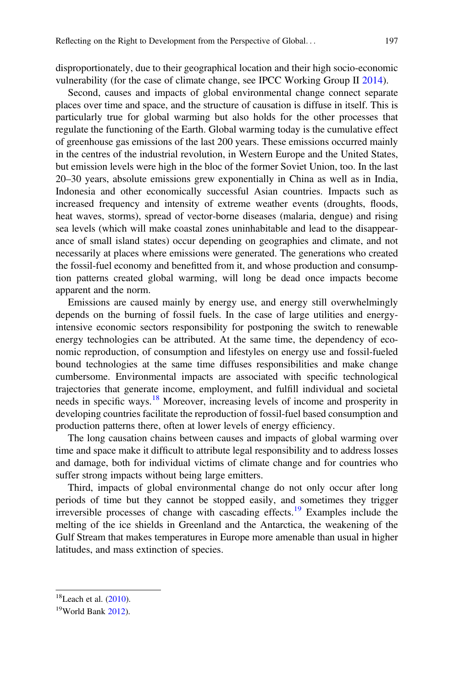disproportionately, due to their geographical location and their high socio-economic vulnerability (for the case of climate change, see IPCC Working Group II [2014\)](#page-14-11).

Second, causes and impacts of global environmental change connect separate places over time and space, and the structure of causation is diffuse in itself. This is particularly true for global warming but also holds for the other processes that regulate the functioning of the Earth. Global warming today is the cumulative effect of greenhouse gas emissions of the last 200 years. These emissions occurred mainly in the centres of the industrial revolution, in Western Europe and the United States, but emission levels were high in the bloc of the former Soviet Union, too. In the last 20–30 years, absolute emissions grew exponentially in China as well as in India, Indonesia and other economically successful Asian countries. Impacts such as increased frequency and intensity of extreme weather events (droughts, floods, heat waves, storms), spread of vector-borne diseases (malaria, dengue) and rising sea levels (which will make coastal zones uninhabitable and lead to the disappearance of small island states) occur depending on geographies and climate, and not necessarily at places where emissions were generated. The generations who created the fossil-fuel economy and benefitted from it, and whose production and consumption patterns created global warming, will long be dead once impacts become apparent and the norm.

Emissions are caused mainly by energy use, and energy still overwhelmingly depends on the burning of fossil fuels. In the case of large utilities and energyintensive economic sectors responsibility for postponing the switch to renewable energy technologies can be attributed. At the same time, the dependency of economic reproduction, of consumption and lifestyles on energy use and fossil-fueled bound technologies at the same time diffuses responsibilities and make change cumbersome. Environmental impacts are associated with specific technological trajectories that generate income, employment, and fulfill individual and societal needs in specific ways.<sup>[18](#page-6-0)</sup> Moreover, increasing levels of income and prosperity in developing countries facilitate the reproduction of fossil-fuel based consumption and production patterns there, often at lower levels of energy efficiency.

The long causation chains between causes and impacts of global warming over time and space make it difficult to attribute legal responsibility and to address losses and damage, both for individual victims of climate change and for countries who suffer strong impacts without being large emitters.

Third, impacts of global environmental change do not only occur after long periods of time but they cannot be stopped easily, and sometimes they trigger irreversible processes of change with cascading effects.<sup>[19](#page-6-1)</sup> Examples include the melting of the ice shields in Greenland and the Antarctica, the weakening of the Gulf Stream that makes temperatures in Europe more amenable than usual in higher latitudes, and mass extinction of species.

<span id="page-6-0"></span> $18$ Leach et al.  $(2010)$  $(2010)$ .

<span id="page-6-1"></span> $19$ World Bank [2012](#page-15-0)).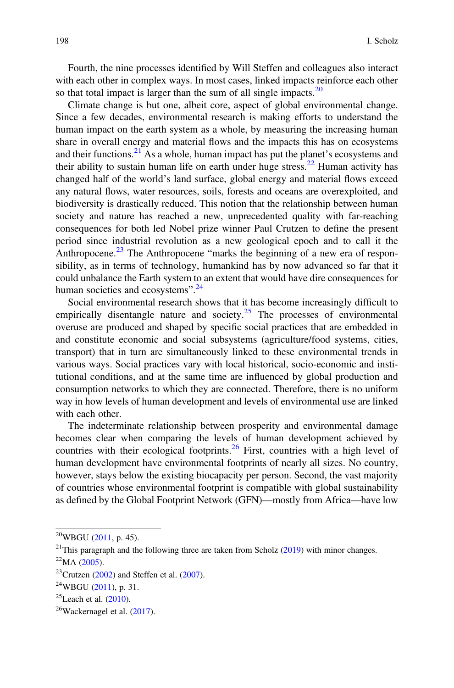Fourth, the nine processes identified by Will Steffen and colleagues also interact with each other in complex ways. In most cases, linked impacts reinforce each other so that total impact is larger than the sum of all single impacts. $20$ 

Climate change is but one, albeit core, aspect of global environmental change. Since a few decades, environmental research is making efforts to understand the human impact on the earth system as a whole, by measuring the increasing human share in overall energy and material flows and the impacts this has on ecosystems and their functions. $^{21}$  $^{21}$  $^{21}$  As a whole, human impact has put the planet's ecosystems and their ability to sustain human life on earth under huge stress.<sup>[22](#page-7-2)</sup> Human activity has changed half of the world's land surface, global energy and material flows exceed any natural flows, water resources, soils, forests and oceans are overexploited, and biodiversity is drastically reduced. This notion that the relationship between human society and nature has reached a new, unprecedented quality with far-reaching consequences for both led Nobel prize winner Paul Crutzen to define the present period since industrial revolution as a new geological epoch and to call it the Anthropocene.<sup>[23](#page-7-3)</sup> The Anthropocene "marks the beginning of a new era of responsibility, as in terms of technology, humankind has by now advanced so far that it could unbalance the Earth system to an extent that would have dire consequences for human societies and ecosystems".<sup>[24](#page-7-4)</sup>

Social environmental research shows that it has become increasingly difficult to empirically disentangle nature and society.<sup>25</sup> The processes of environmental overuse are produced and shaped by specific social practices that are embedded in and constitute economic and social subsystems (agriculture/food systems, cities, transport) that in turn are simultaneously linked to these environmental trends in various ways. Social practices vary with local historical, socio-economic and institutional conditions, and at the same time are influenced by global production and consumption networks to which they are connected. Therefore, there is no uniform way in how levels of human development and levels of environmental use are linked with each other.

The indeterminate relationship between prosperity and environmental damage becomes clear when comparing the levels of human development achieved by countries with their ecological footprints. $26$  First, countries with a high level of human development have environmental footprints of nearly all sizes. No country, however, stays below the existing biocapacity per person. Second, the vast majority of countries whose environmental footprint is compatible with global sustainability as defined by the Global Footprint Network (GFN)—mostly from Africa—have low

<span id="page-7-0"></span> $20$ WBGU [\(2011](#page-15-1), p. 45).

<span id="page-7-1"></span><sup>&</sup>lt;sup>21</sup>This paragraph and the following three are taken from Scholz  $(2019)$  $(2019)$  with minor changes.

<span id="page-7-2"></span> $^{22}$ MA [\(2005](#page-14-14)).

<span id="page-7-3"></span><sup>&</sup>lt;sup>23</sup>Crutzen [\(2002](#page-14-15)) and Steffen et al. ([2007\)](#page-14-16).

<span id="page-7-4"></span> $24$ WBGU [\(2011](#page-15-1)), p. 31.

<span id="page-7-5"></span><sup>&</sup>lt;sup>25</sup>Leach et al.  $(2010)$  $(2010)$ .

<span id="page-7-6"></span> $26$ Wackernagel et al.  $(2017)$  $(2017)$ .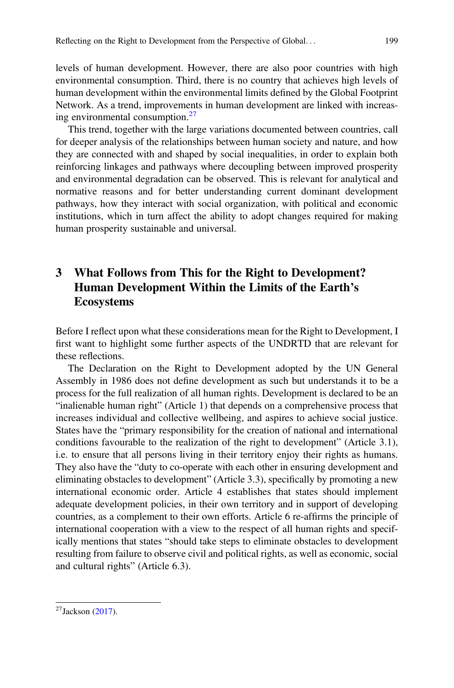levels of human development. However, there are also poor countries with high environmental consumption. Third, there is no country that achieves high levels of human development within the environmental limits defined by the Global Footprint Network. As a trend, improvements in human development are linked with increasing environmental consumption.[27](#page-8-1)

This trend, together with the large variations documented between countries, call for deeper analysis of the relationships between human society and nature, and how they are connected with and shaped by social inequalities, in order to explain both reinforcing linkages and pathways where decoupling between improved prosperity and environmental degradation can be observed. This is relevant for analytical and normative reasons and for better understanding current dominant development pathways, how they interact with social organization, with political and economic institutions, which in turn affect the ability to adopt changes required for making human prosperity sustainable and universal.

# <span id="page-8-0"></span>3 What Follows from This for the Right to Development? Human Development Within the Limits of the Earth's Ecosystems

Before I reflect upon what these considerations mean for the Right to Development, I first want to highlight some further aspects of the UNDRTD that are relevant for these reflections.

The Declaration on the Right to Development adopted by the UN General Assembly in 1986 does not define development as such but understands it to be a process for the full realization of all human rights. Development is declared to be an "inalienable human right" (Article 1) that depends on a comprehensive process that increases individual and collective wellbeing, and aspires to achieve social justice. States have the "primary responsibility for the creation of national and international conditions favourable to the realization of the right to development" (Article 3.1), i.e. to ensure that all persons living in their territory enjoy their rights as humans. They also have the "duty to co-operate with each other in ensuring development and eliminating obstacles to development" (Article 3.3), specifically by promoting a new international economic order. Article 4 establishes that states should implement adequate development policies, in their own territory and in support of developing countries, as a complement to their own efforts. Article 6 re-affirms the principle of international cooperation with a view to the respect of all human rights and specifically mentions that states "should take steps to eliminate obstacles to development resulting from failure to observe civil and political rights, as well as economic, social and cultural rights" (Article 6.3).

<span id="page-8-1"></span> $27$ Jackson [\(2017](#page-14-18)).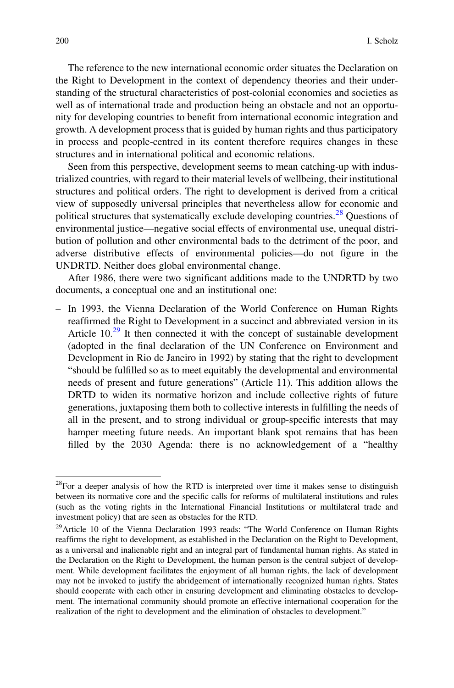The reference to the new international economic order situates the Declaration on the Right to Development in the context of dependency theories and their understanding of the structural characteristics of post-colonial economies and societies as well as of international trade and production being an obstacle and not an opportunity for developing countries to benefit from international economic integration and growth. A development process that is guided by human rights and thus participatory in process and people-centred in its content therefore requires changes in these structures and in international political and economic relations.

Seen from this perspective, development seems to mean catching-up with industrialized countries, with regard to their material levels of wellbeing, their institutional structures and political orders. The right to development is derived from a critical view of supposedly universal principles that nevertheless allow for economic and political structures that systematically exclude developing countries.<sup>[28](#page-9-0)</sup> Questions of environmental justice—negative social effects of environmental use, unequal distribution of pollution and other environmental bads to the detriment of the poor, and adverse distributive effects of environmental policies—do not figure in the UNDRTD. Neither does global environmental change.

After 1986, there were two significant additions made to the UNDRTD by two documents, a conceptual one and an institutional one:

– In 1993, the Vienna Declaration of the World Conference on Human Rights reaffirmed the Right to Development in a succinct and abbreviated version in its Article  $10^{29}$  $10^{29}$  $10^{29}$  It then connected it with the concept of sustainable development (adopted in the final declaration of the UN Conference on Environment and Development in Rio de Janeiro in 1992) by stating that the right to development "should be fulfilled so as to meet equitably the developmental and environmental needs of present and future generations" (Article 11). This addition allows the DRTD to widen its normative horizon and include collective rights of future generations, juxtaposing them both to collective interests in fulfilling the needs of all in the present, and to strong individual or group-specific interests that may hamper meeting future needs. An important blank spot remains that has been filled by the 2030 Agenda: there is no acknowledgement of a "healthy

<span id="page-9-0"></span> $^{28}$ For a deeper analysis of how the RTD is interpreted over time it makes sense to distinguish between its normative core and the specific calls for reforms of multilateral institutions and rules (such as the voting rights in the International Financial Institutions or multilateral trade and investment policy) that are seen as obstacles for the RTD.

<span id="page-9-1"></span> $^{29}$ Article 10 of the Vienna Declaration 1993 reads: "The World Conference on Human Rights reaffirms the right to development, as established in the Declaration on the Right to Development, as a universal and inalienable right and an integral part of fundamental human rights. As stated in the Declaration on the Right to Development, the human person is the central subject of development. While development facilitates the enjoyment of all human rights, the lack of development may not be invoked to justify the abridgement of internationally recognized human rights. States should cooperate with each other in ensuring development and eliminating obstacles to development. The international community should promote an effective international cooperation for the realization of the right to development and the elimination of obstacles to development."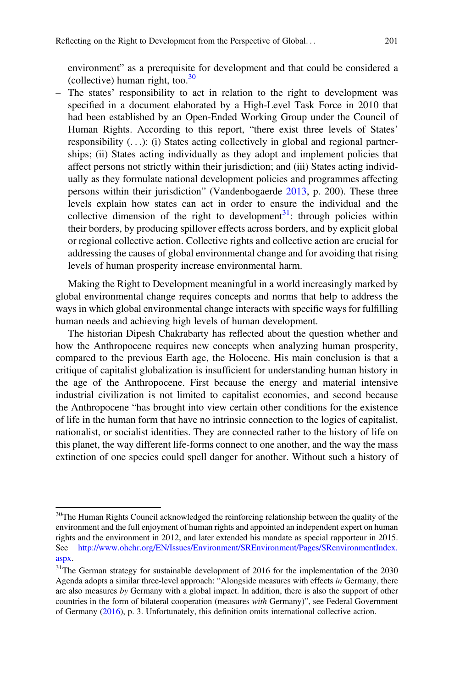environment" as a prerequisite for development and that could be considered a (collective) human right, too. $30$ 

– The states' responsibility to act in relation to the right to development was specified in a document elaborated by a High-Level Task Force in 2010 that had been established by an Open-Ended Working Group under the Council of Human Rights. According to this report, "there exist three levels of States' responsibility (...): (i) States acting collectively in global and regional partnerships; (ii) States acting individually as they adopt and implement policies that affect persons not strictly within their jurisdiction; and (iii) States acting individually as they formulate national development policies and programmes affecting persons within their jurisdiction" (Vandenbogaerde [2013](#page-14-1), p. 200). These three levels explain how states can act in order to ensure the individual and the collective dimension of the right to development<sup>31</sup>: through policies within their borders, by producing spillover effects across borders, and by explicit global or regional collective action. Collective rights and collective action are crucial for addressing the causes of global environmental change and for avoiding that rising levels of human prosperity increase environmental harm.

Making the Right to Development meaningful in a world increasingly marked by global environmental change requires concepts and norms that help to address the ways in which global environmental change interacts with specific ways for fulfilling human needs and achieving high levels of human development.

The historian Dipesh Chakrabarty has reflected about the question whether and how the Anthropocene requires new concepts when analyzing human prosperity, compared to the previous Earth age, the Holocene. His main conclusion is that a critique of capitalist globalization is insufficient for understanding human history in the age of the Anthropocene. First because the energy and material intensive industrial civilization is not limited to capitalist economies, and second because the Anthropocene "has brought into view certain other conditions for the existence of life in the human form that have no intrinsic connection to the logics of capitalist, nationalist, or socialist identities. They are connected rather to the history of life on this planet, the way different life-forms connect to one another, and the way the mass extinction of one species could spell danger for another. Without such a history of

<span id="page-10-0"></span><sup>&</sup>lt;sup>30</sup>The Human Rights Council acknowledged the reinforcing relationship between the quality of the environment and the full enjoyment of human rights and appointed an independent expert on human rights and the environment in 2012, and later extended his mandate as special rapporteur in 2015. See [http://www.ohchr.org/EN/Issues/Environment/SREnvironment/Pages/SRenvironmentIndex.](http://www.ohchr.org/EN/Issues/Environment/SREnvironment/Pages/SRenvironmentIndex.aspx) [aspx](http://www.ohchr.org/EN/Issues/Environment/SREnvironment/Pages/SRenvironmentIndex.aspx).

<span id="page-10-1"></span><sup>&</sup>lt;sup>31</sup>The German strategy for sustainable development of 2016 for the implementation of the 2030 Agenda adopts a similar three-level approach: "Alongside measures with effects in Germany, there are also measures by Germany with a global impact. In addition, there is also the support of other countries in the form of bilateral cooperation (measures with Germany)", see Federal Government of Germany ([2016\)](#page-14-19), p. 3. Unfortunately, this definition omits international collective action.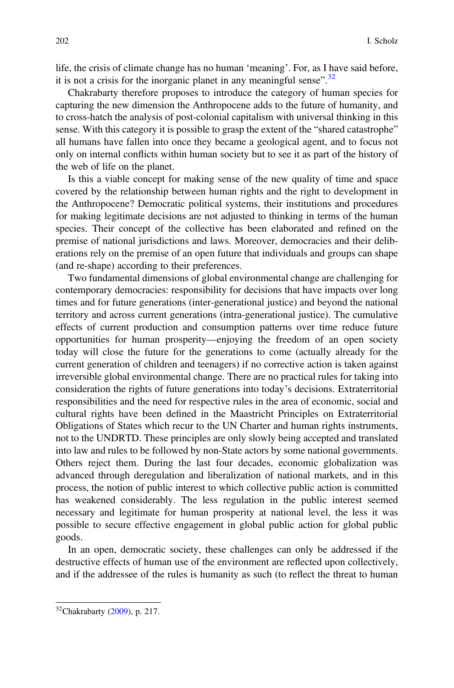life, the crisis of climate change has no human 'meaning'. For, as I have said before, it is not a crisis for the inorganic planet in any meaningful sense". $32$ 

Chakrabarty therefore proposes to introduce the category of human species for capturing the new dimension the Anthropocene adds to the future of humanity, and to cross-hatch the analysis of post-colonial capitalism with universal thinking in this sense. With this category it is possible to grasp the extent of the "shared catastrophe" all humans have fallen into once they became a geological agent, and to focus not only on internal conflicts within human society but to see it as part of the history of the web of life on the planet.

Is this a viable concept for making sense of the new quality of time and space covered by the relationship between human rights and the right to development in the Anthropocene? Democratic political systems, their institutions and procedures for making legitimate decisions are not adjusted to thinking in terms of the human species. Their concept of the collective has been elaborated and refined on the premise of national jurisdictions and laws. Moreover, democracies and their deliberations rely on the premise of an open future that individuals and groups can shape (and re-shape) according to their preferences.

Two fundamental dimensions of global environmental change are challenging for contemporary democracies: responsibility for decisions that have impacts over long times and for future generations (inter-generational justice) and beyond the national territory and across current generations (intra-generational justice). The cumulative effects of current production and consumption patterns over time reduce future opportunities for human prosperity—enjoying the freedom of an open society today will close the future for the generations to come (actually already for the current generation of children and teenagers) if no corrective action is taken against irreversible global environmental change. There are no practical rules for taking into consideration the rights of future generations into today's decisions. Extraterritorial responsibilities and the need for respective rules in the area of economic, social and cultural rights have been defined in the Maastricht Principles on Extraterritorial Obligations of States which recur to the UN Charter and human rights instruments, not to the UNDRTD. These principles are only slowly being accepted and translated into law and rules to be followed by non-State actors by some national governments. Others reject them. During the last four decades, economic globalization was advanced through deregulation and liberalization of national markets, and in this process, the notion of public interest to which collective public action is committed has weakened considerably. The less regulation in the public interest seemed necessary and legitimate for human prosperity at national level, the less it was possible to secure effective engagement in global public action for global public goods.

In an open, democratic society, these challenges can only be addressed if the destructive effects of human use of the environment are reflected upon collectively, and if the addressee of the rules is humanity as such (to reflect the threat to human

<span id="page-11-0"></span><sup>32</sup>Chakrabarty [\(2009\)](#page-14-20), p. 217.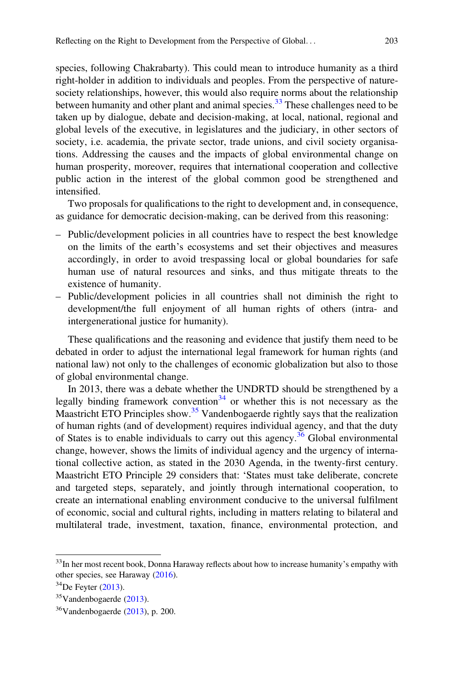species, following Chakrabarty). This could mean to introduce humanity as a third right-holder in addition to individuals and peoples. From the perspective of naturesociety relationships, however, this would also require norms about the relationship between humanity and other plant and animal species. $33$  These challenges need to be taken up by dialogue, debate and decision-making, at local, national, regional and global levels of the executive, in legislatures and the judiciary, in other sectors of society, i.e. academia, the private sector, trade unions, and civil society organisations. Addressing the causes and the impacts of global environmental change on human prosperity, moreover, requires that international cooperation and collective public action in the interest of the global common good be strengthened and intensified.

Two proposals for qualifications to the right to development and, in consequence, as guidance for democratic decision-making, can be derived from this reasoning:

- Public/development policies in all countries have to respect the best knowledge on the limits of the earth's ecosystems and set their objectives and measures accordingly, in order to avoid trespassing local or global boundaries for safe human use of natural resources and sinks, and thus mitigate threats to the existence of humanity.
- Public/development policies in all countries shall not diminish the right to development/the full enjoyment of all human rights of others (intra- and intergenerational justice for humanity).

These qualifications and the reasoning and evidence that justify them need to be debated in order to adjust the international legal framework for human rights (and national law) not only to the challenges of economic globalization but also to those of global environmental change.

In 2013, there was a debate whether the UNDRTD should be strengthened by a legally binding framework convention<sup>[34](#page-12-1)</sup> or whether this is not necessary as the Maastricht ETO Principles show.<sup>[35](#page-12-2)</sup> Vandenbogaerde rightly says that the realization of human rights (and of development) requires individual agency, and that the duty of States is to enable individuals to carry out this agency.<sup>[36](#page-12-3)</sup> Global environmental change, however, shows the limits of individual agency and the urgency of international collective action, as stated in the 2030 Agenda, in the twenty-first century. Maastricht ETO Principle 29 considers that: 'States must take deliberate, concrete and targeted steps, separately, and jointly through international cooperation, to create an international enabling environment conducive to the universal fulfilment of economic, social and cultural rights, including in matters relating to bilateral and multilateral trade, investment, taxation, finance, environmental protection, and

<span id="page-12-0"></span><sup>&</sup>lt;sup>33</sup>In her most recent book, Donna Haraway reflects about how to increase humanity's empathy with other species, see Haraway ([2016](#page-14-21)).

<span id="page-12-1"></span> $34$ De Feyter [\(2013\)](#page-14-2).

<span id="page-12-2"></span><sup>35</sup>Vandenbogaerde ([2013\)](#page-14-1).

<span id="page-12-3"></span> $36$ Vandenbogaerde ([2013\)](#page-14-1), p. 200.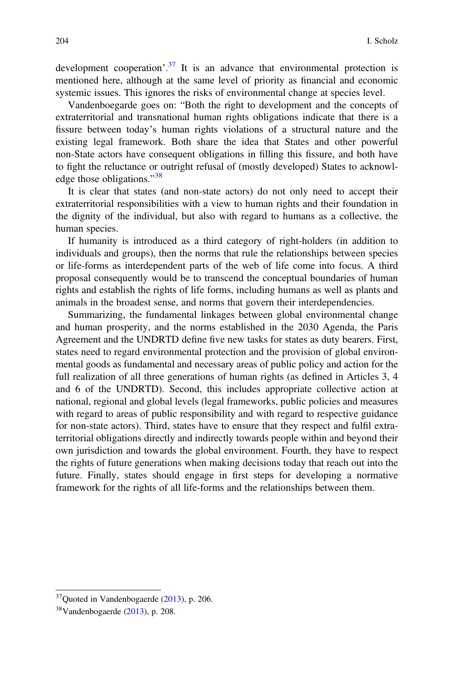development cooperation'.<sup>[37](#page-13-0)</sup> It is an advance that environmental protection is mentioned here, although at the same level of priority as financial and economic systemic issues. This ignores the risks of environmental change at species level.

Vandenboegarde goes on: "Both the right to development and the concepts of extraterritorial and transnational human rights obligations indicate that there is a fissure between today's human rights violations of a structural nature and the existing legal framework. Both share the idea that States and other powerful non-State actors have consequent obligations in filling this fissure, and both have to fight the reluctance or outright refusal of (mostly developed) States to acknowl-edge those obligations."<sup>[38](#page-13-1)</sup>

It is clear that states (and non-state actors) do not only need to accept their extraterritorial responsibilities with a view to human rights and their foundation in the dignity of the individual, but also with regard to humans as a collective, the human species.

If humanity is introduced as a third category of right-holders (in addition to individuals and groups), then the norms that rule the relationships between species or life-forms as interdependent parts of the web of life come into focus. A third proposal consequently would be to transcend the conceptual boundaries of human rights and establish the rights of life forms, including humans as well as plants and animals in the broadest sense, and norms that govern their interdependencies.

Summarizing, the fundamental linkages between global environmental change and human prosperity, and the norms established in the 2030 Agenda, the Paris Agreement and the UNDRTD define five new tasks for states as duty bearers. First, states need to regard environmental protection and the provision of global environmental goods as fundamental and necessary areas of public policy and action for the full realization of all three generations of human rights (as defined in Articles 3, 4 and 6 of the UNDRTD). Second, this includes appropriate collective action at national, regional and global levels (legal frameworks, public policies and measures with regard to areas of public responsibility and with regard to respective guidance for non-state actors). Third, states have to ensure that they respect and fulfil extraterritorial obligations directly and indirectly towards people within and beyond their own jurisdiction and towards the global environment. Fourth, they have to respect the rights of future generations when making decisions today that reach out into the future. Finally, states should engage in first steps for developing a normative framework for the rights of all life-forms and the relationships between them.

<span id="page-13-0"></span><sup>37</sup>Quoted in Vandenbogaerde ([2013\)](#page-14-1), p. 206.

<span id="page-13-1"></span><sup>38</sup>Vandenbogaerde ([2013\)](#page-14-1), p. 208.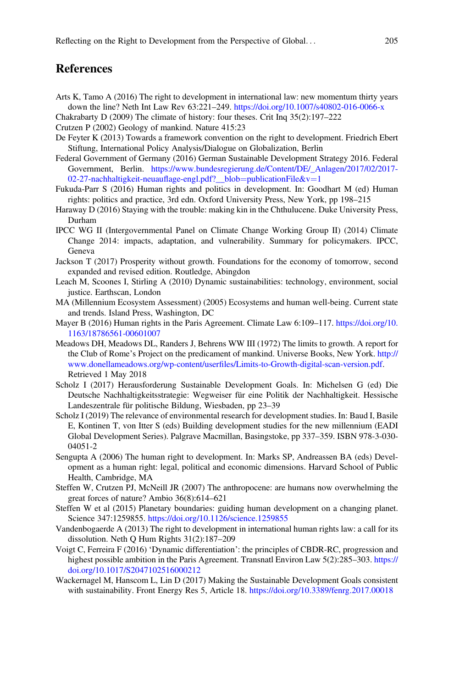### <span id="page-14-0"></span>**References**

- <span id="page-14-6"></span>Arts K, Tamo A (2016) The right to development in international law: new momentum thirty years down the line? Neth Int Law Rev 63:221–249. <https://doi.org/10.1007/s40802-016-0066-x>
- <span id="page-14-20"></span>Chakrabarty D (2009) The climate of history: four theses. Crit Inq 35(2):197–222

<span id="page-14-15"></span>Crutzen P (2002) Geology of mankind. Nature 415:23

- <span id="page-14-2"></span>De Feyter K (2013) Towards a framework convention on the right to development. Friedrich Ebert Stiftung, International Policy Analysis/Dialogue on Globalization, Berlin
- <span id="page-14-19"></span>Federal Government of Germany (2016) German Sustainable Development Strategy 2016. Federal Government, Berlin. [https://www.bundesregierung.de/Content/DE/\\_Anlagen/2017/02/2017-](https://www.bundesregierung.de/Content/DE/_Anlagen/2017/02/2017-02-27-nachhaltigkeit-neuauflage-engl.pdf?__blob=publicationFile&v=1) [02-27-nachhaltigkeit-neuau](https://www.bundesregierung.de/Content/DE/_Anlagen/2017/02/2017-02-27-nachhaltigkeit-neuauflage-engl.pdf?__blob=publicationFile&v=1)flage-engl.pdf?\_blob=[publicationFile&v](https://www.bundesregierung.de/Content/DE/_Anlagen/2017/02/2017-02-27-nachhaltigkeit-neuauflage-engl.pdf?__blob=publicationFile&v=1)=[1](https://www.bundesregierung.de/Content/DE/_Anlagen/2017/02/2017-02-27-nachhaltigkeit-neuauflage-engl.pdf?__blob=publicationFile&v=1)
- <span id="page-14-3"></span>Fukuda-Parr S (2016) Human rights and politics in development. In: Goodhart M (ed) Human rights: politics and practice, 3rd edn. Oxford University Press, New York, pp 198–215
- <span id="page-14-21"></span>Haraway D (2016) Staying with the trouble: making kin in the Chthulucene. Duke University Press, Durham
- <span id="page-14-11"></span>IPCC WG II (Intergovernmental Panel on Climate Change Working Group II) (2014) Climate Change 2014: impacts, adaptation, and vulnerability. Summary for policymakers. IPCC, Geneva
- <span id="page-14-18"></span>Jackson T (2017) Prosperity without growth. Foundations for the economy of tomorrow, second expanded and revised edition. Routledge, Abingdon
- <span id="page-14-12"></span>Leach M, Scoones I, Stirling A (2010) Dynamic sustainabilities: technology, environment, social justice. Earthscan, London
- <span id="page-14-14"></span>MA (Millennium Ecosystem Assessment) (2005) Ecosystems and human well-being. Current state and trends. Island Press, Washington, DC
- <span id="page-14-4"></span>Mayer B (2016) Human rights in the Paris Agreement. Climate Law 6:109–117. [https://doi.org/10.](https://doi.org/10.1163/18786561-00601007) [1163/18786561-00601007](https://doi.org/10.1163/18786561-00601007)
- <span id="page-14-9"></span>Meadows DH, Meadows DL, Randers J, Behrens WW III (1972) The limits to growth. A report for the Club of Rome's Project on the predicament of mankind. Universe Books, New York. [http://](http://www.donellameadows.org/wp-content/userfiles/Limits-to-Growth-digital-scan-version.pdf) www.donellameadows.org/wp-content/userfi[les/Limits-to-Growth-digital-scan-version.pdf](http://www.donellameadows.org/wp-content/userfiles/Limits-to-Growth-digital-scan-version.pdf). Retrieved 1 May 2018
- <span id="page-14-5"></span>Scholz I (2017) Herausforderung Sustainable Development Goals. In: Michelsen G (ed) Die Deutsche Nachhaltigkeitsstrategie: Wegweiser für eine Politik der Nachhaltigkeit. Hessische Landeszentrale für politische Bildung, Wiesbaden, pp 23–39
- <span id="page-14-13"></span>Scholz I (2019) The relevance of environmental research for development studies. In: Baud I, Basile E, Kontinen T, von Itter S (eds) Building development studies for the new millennium (EADI Global Development Series). Palgrave Macmillan, Basingstoke, pp 337–359. ISBN 978-3-030- 04051-2
- <span id="page-14-7"></span>Sengupta A (2006) The human right to development. In: Marks SP, Andreassen BA (eds) Development as a human right: legal, political and economic dimensions. Harvard School of Public Health, Cambridge, MA
- <span id="page-14-16"></span>Steffen W, Crutzen PJ, McNeill JR (2007) The anthropocene: are humans now overwhelming the great forces of nature? Ambio 36(8):614–621
- <span id="page-14-10"></span>Steffen W et al (2015) Planetary boundaries: guiding human development on a changing planet. Science 347:1259855. <https://doi.org/10.1126/science.1259855>
- <span id="page-14-1"></span>Vandenbogaerde A (2013) The right to development in international human rights law: a call for its dissolution. Neth Q Hum Rights 31(2):187–209
- <span id="page-14-8"></span>Voigt C, Ferreira F (2016) 'Dynamic differentiation': the principles of CBDR-RC, progression and highest possible ambition in the Paris Agreement. Transnatl Environ Law 5(2):285–303. [https://](https://doi.org/10.1017/S2047102516000212) [doi.org/10.1017/S2047102516000212](https://doi.org/10.1017/S2047102516000212)
- <span id="page-14-17"></span>Wackernagel M, Hanscom L, Lin D (2017) Making the Sustainable Development Goals consistent with sustainability. Front Energy Res 5, Article 18. <https://doi.org/10.3389/fenrg.2017.00018>